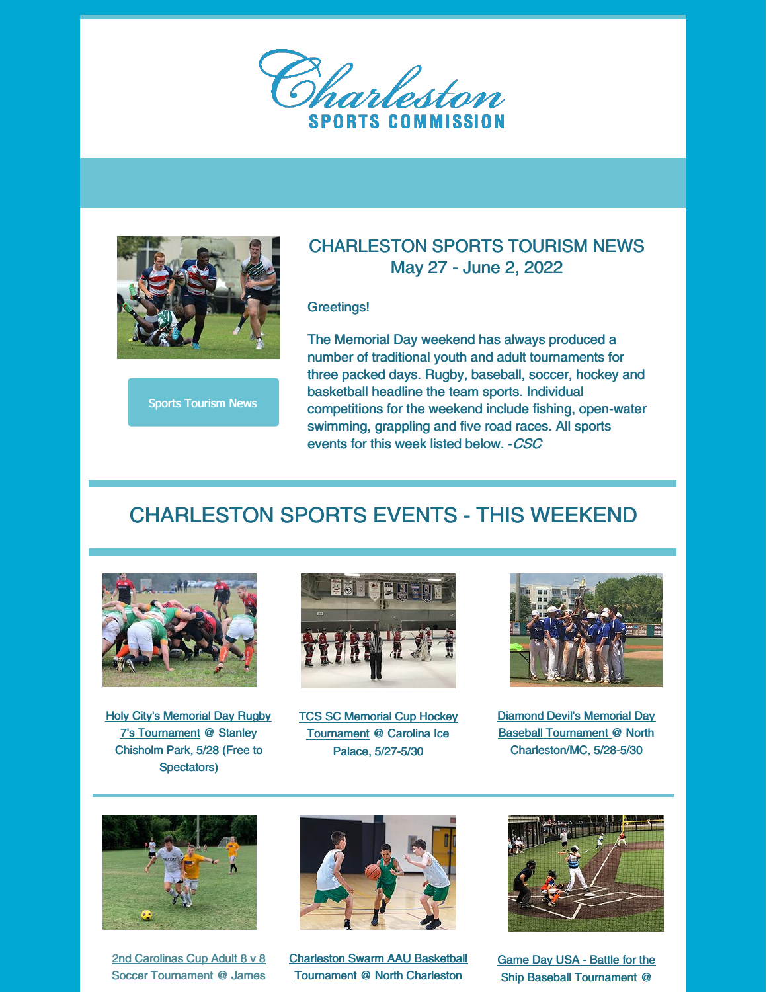



#### Sports Tourism News

### CHARLESTON SPORTS TOURISM NEWS May 27 - June 2, 2022

#### Greetings!

The Memorial Day weekend has always produced a number of traditional youth and adult tournaments for three packed days. Rugby, baseball, soccer, hockey and basketball headline the team sports. Individual competitions for the weekend include fishing, open-water swimming, grappling and five road races. All sports events for this week listed below. -CSC

## CHARLESTON SPORTS EVENTS - THIS WEEKEND



**Holy City's Memorial Day Rugby** 7's Tournament @ Stanley Chisholm Park, 5/28 (Free to Spectators)



TCS SC Memorial Cup Hockey Tournament @ Carolina Ice Palace, 5/27-5/30



Diamond Devil's Memorial Day Baseball Tournament @ North Charleston/MC, 5/28-5/30



2nd Carolinas Cup Adult 8 v 8 Soccer Tournament @ James



Charleston Swarm AAU Basketball Tournament @ North Charleston



Game Day USA - Battle for the Ship Baseball Tournament @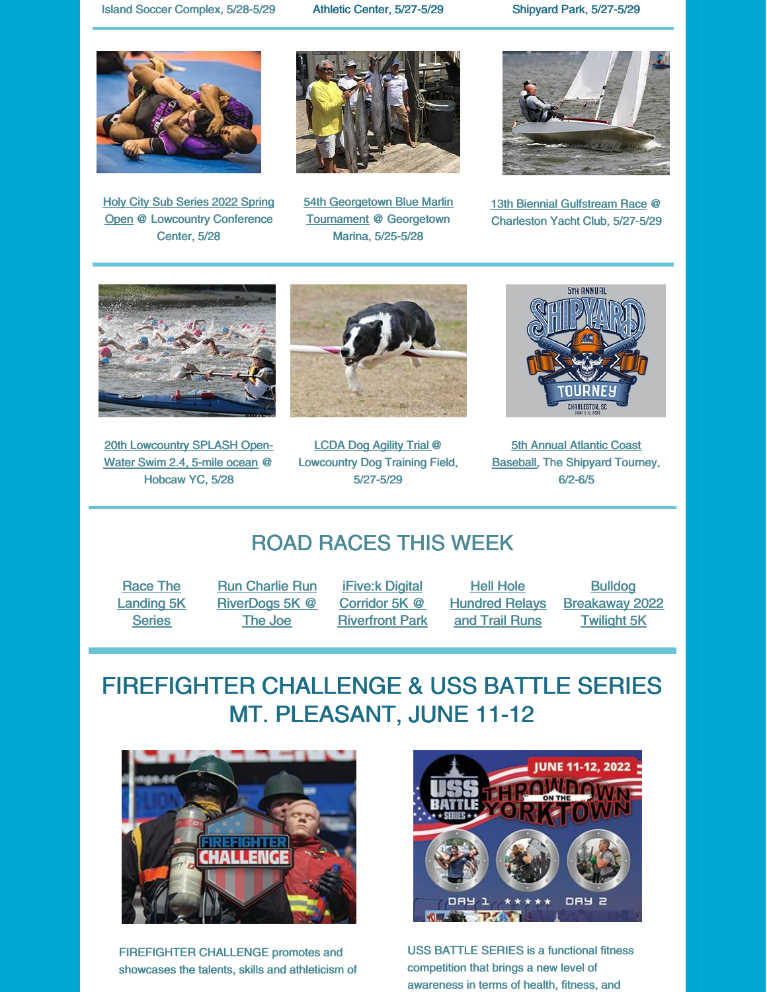Island Soccer Complex, 5/28-5/29 Athletic Center, 5/27-5/29 Shipyard Park, 5/27-5/29



Holy City Sub Series 2022 Spring Open @ Lowcountry Conference Center, 5/28



54th Georgetown Blue Marlin **Tournament @ Georgetown** Marina, 5/25-5/28



13th Biennial Gulfstream Race @ Charleston Yacht Club, 5/27-5/29



20th Lowcountry SPLASH Open-Water Swim 2.4, 5-mile ocean @ Hobcaw YC, 5/28



LCDA Dog Agility Trial @ Lowcountry Dog Training Field, 5/27-5/29



**5th Annual Atlantic Coast** Baseball, The Shipyard Tourney, 6/2-6/5

## ROAD RACES THIS WEEK

Race The Landing 5K **Series** 

Run Charlie Run RiverDogs 5K @ The Joe

iFive:k Digital Corridor 5K @ Riverfront Park

Hell Hole **Hundred Relays** and Trail Runs

Bulldog Breakaway 2022 Twilight 5K

# FIREFIGHTER CHALLENGE & USS BATTLE SERIES MT. PLEASANT, JUNE 11-12



FIREFIGHTER CHALLENGE promotes and showcases the talents, skills and athleticism of



USS BATTLE SERIES is a functional fitness competition that brings a new level of awareness in terms of health, fitness, and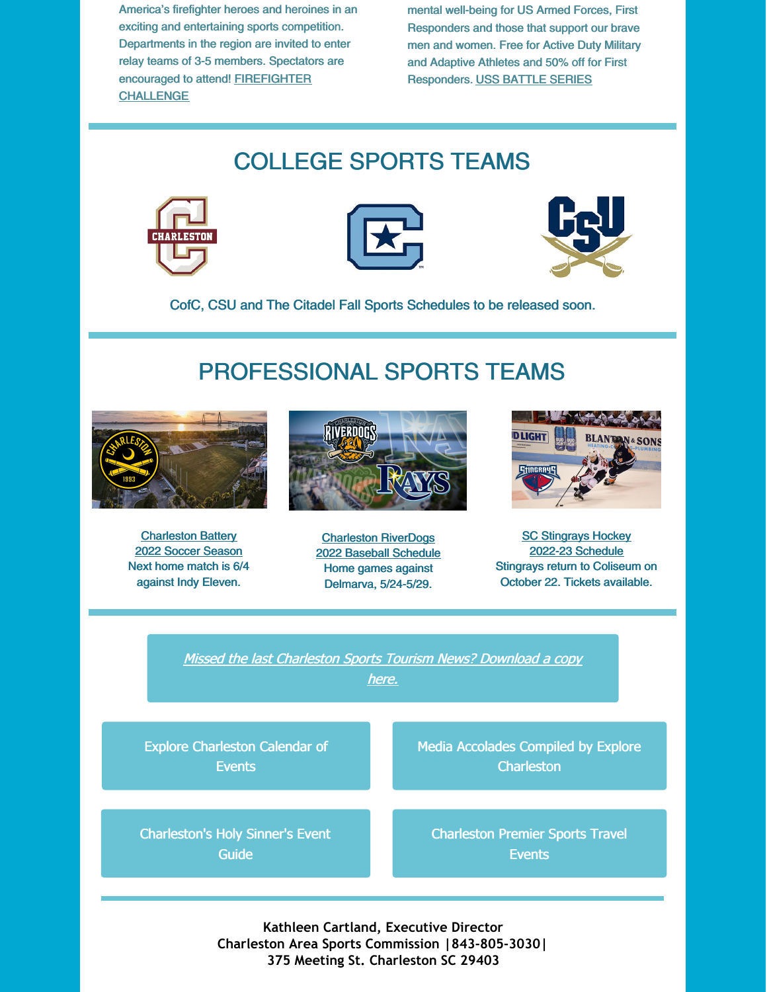America's firefighter heroes and heroines in an exciting and entertaining sports competition. Departments in the region are invited to enter relay teams of 3-5 members. Spectators are encouraged to attend! FIREFIGHTER **CHALLENGE** 

mental well-being for US Armed Forces, First Responders and those that support our brave men and women. Free for Active Duty Military and Adaptive Athletes and 50% off for First Responders. USS BATTLE SERIES

## COLLEGE SPORTS TEAMS







CofC, CSU and The Citadel Fall Sports Schedules to be released soon.

## PROFESSIONAL SPORTS TEAMS



**Charleston Battery** 2022 Soccer Season Next home match is 6/4 against Indy Eleven.



Charleston RiverDogs 2022 Baseball Schedule Home games against Delmarva, 5/24-5/29.



**SC Stingrays Hockey** 2022-23 Schedule Stingrays return to Coliseum on October 22. Tickets available.

Missed the last Charleston Sports Tourism News? Download <sup>a</sup> copy here.

Explore Charleston Calendar of **Events** 

Media Accolades Compiled by Explore **Charleston** 

Charleston's Holy Sinner's Event Guide

Charleston Premier Sports Travel **Events** 

**Kathleen Cartland, Executive Director Charleston Area Sports Commission |843-805-3030| 375 Meeting St. Charleston SC 29403**